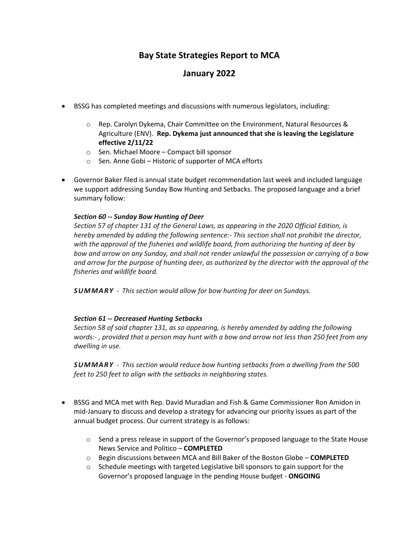## **Bay State Strategies Report to MCA**

## **January 2022**

- BSSG has completed meetings and discussions with numerous legislators, including:
	- $\circ$  Rep. Carolyn Dykema, Chair Committee on the Environment, Natural Resources & Agriculture (ENV). **Rep. Dykema just announced that she is leaving the Legislature effective 2/11/22**
	- o Sen. Michael Moore Compact bill sponsor
	- o Sen. Anne Gobi Historic of supporter of MCA efforts
- Governor Baker filed is annual state budget recommendation last week and included language we support addressing Sunday Bow Hunting and Setbacks. The proposed language and a brief summary follow:

## *Section 60 -- Sunday Bow Hunting of Deer*

*Section 57 of chapter 131 of the General Laws, as appearing in the 2020 Official Edition, is hereby amended by adding the following sentence:- This section shall not prohibit the director, with the approval of the fisheries and wildlife board, from authorizing the hunting of deer by bow and arrow on any Sunday, and shall not render unlawful the possession or carrying of a bow and arrow for the purpose of hunting deer, as authorized by the director with the approval of the fisheries and wildlife board.*

*SUMMARY - This section would allow for bow hunting for deer on Sundays.*

## *Section 61 -- Decreased Hunting Setbacks*

*Section 58 of said chapter 131, as so appearing, is hereby amended by adding the following words:- , provided that a person may hunt with a bow and arrow not less than 250 feet from any dwelling in use.*

*SUMMARY - This section would reduce bow hunting setbacks from a dwelling from the 500 feet to 250 feet to align with the setbacks in neighboring states.*

- BSSG and MCA met with Rep. David Muradian and Fish & Game Commissioner Ron Amidon in mid-January to discuss and develop a strategy for advancing our priority issues as part of the annual budget process. Our current strategy is as follows:
	- $\circ$  Send a press release in support of the Governor's proposed language to the State House News Service and Politico – **COMPLETED**
	- o Begin discussions between MCA and Bill Baker of the Boston Globe **COMPLETED**
	- o Schedule meetings with targeted Legislative bill sponsors to gain support for the Governor's proposed language in the pending House budget - **ONGOING**